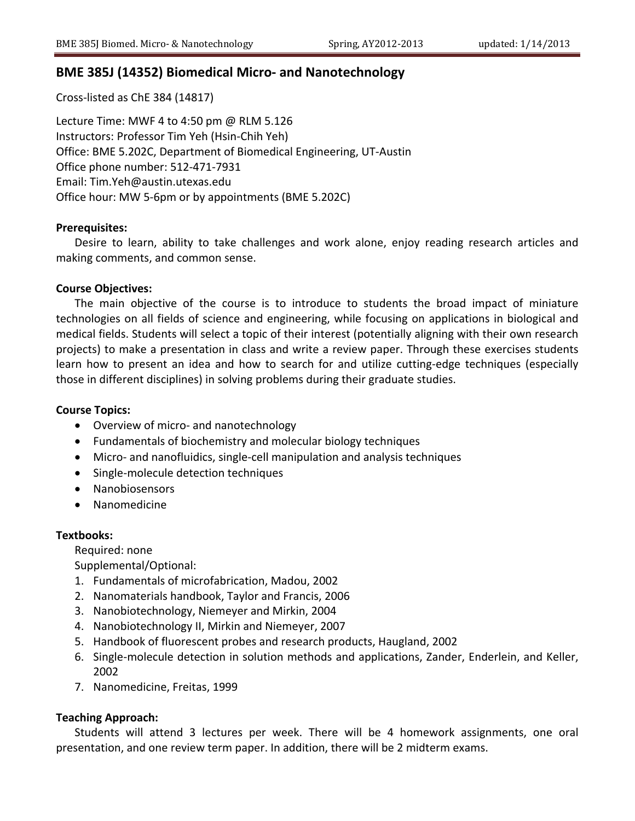# **BME 385J (14352) Biomedical Micro‐ and Nanotechnology**

Cross‐listed as ChE 384 (14817)

Lecture Time: MWF 4 to 4:50 pm @ RLM 5.126 Instructors: Professor Tim Yeh (Hsin‐Chih Yeh) Office: BME 5.202C, Department of Biomedical Engineering, UT‐Austin Office phone number: 512‐471‐7931 Email: Tim.Yeh@austin.utexas.edu Office hour: MW 5‐6pm or by appointments (BME 5.202C)

# **Prerequisites:**

Desire to learn, ability to take challenges and work alone, enjoy reading research articles and making comments, and common sense.

# **Course Objectives:**

The main objective of the course is to introduce to students the broad impact of miniature technologies on all fields of science and engineering, while focusing on applications in biological and medical fields. Students will select a topic of their interest (potentially aligning with their own research projects) to make a presentation in class and write a review paper. Through these exercises students learn how to present an idea and how to search for and utilize cutting-edge techniques (especially those in different disciplines) in solving problems during their graduate studies.

# **Course Topics:**

- Overview of micro- and nanotechnology
- Fundamentals of biochemistry and molecular biology techniques
- Micro- and nanofluidics, single-cell manipulation and analysis techniques
- Single-molecule detection techniques
- Nanobiosensors
- Nanomedicine

# **Textbooks:**

Required: none

Supplemental/Optional:

- 1. Fundamentals of microfabrication, Madou, 2002
- 2. Nanomaterials handbook, Taylor and Francis, 2006
- 3. Nanobiotechnology, Niemeyer and Mirkin, 2004
- 4. Nanobiotechnology II, Mirkin and Niemeyer, 2007
- 5. Handbook of fluorescent probes and research products, Haugland, 2002
- 6. Single‐molecule detection in solution methods and applications, Zander, Enderlein, and Keller, 2002
- 7. Nanomedicine, Freitas, 1999

# **Teaching Approach:**

Students will attend 3 lectures per week. There will be 4 homework assignments, one oral presentation, and one review term paper. In addition, there will be 2 midterm exams.